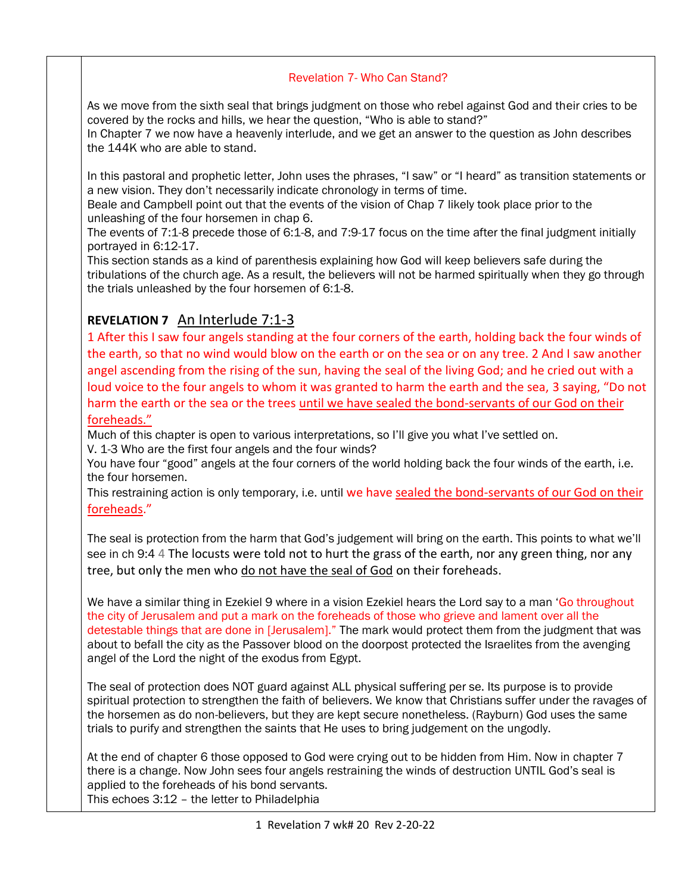## Revelation 7- Who Can Stand?

As we move from the sixth seal that brings judgment on those who rebel against God and their cries to be covered by the rocks and hills, we hear the question, "Who is able to stand?"

In Chapter 7 we now have a heavenly interlude, and we get an answer to the question as John describes the 144K who are able to stand.

In this pastoral and prophetic letter, John uses the phrases, "I saw" or "I heard" as transition statements or a new vision. They don't necessarily indicate chronology in terms of time.

Beale and Campbell point out that the events of the vision of Chap 7 likely took place prior to the unleashing of the four horsemen in chap 6.

The events of 7:1-8 precede those of 6:1-8, and 7:9-17 focus on the time after the final judgment initially portrayed in 6:12-17.

This section stands as a kind of parenthesis explaining how God will keep believers safe during the tribulations of the church age. As a result, the believers will not be harmed spiritually when they go through the trials unleashed by the four horsemen of 6:1-8.

## **REVELATION 7** An Interlude 7:1-3

1 After this I saw four angels standing at the four corners of the earth, holding back the four winds of the earth, so that no wind would blow on the earth or on the sea or on any tree. 2 And I saw another angel ascending from the rising of the sun, having the seal of the living God; and he cried out with a loud voice to the four angels to whom it was granted to harm the earth and the sea, 3 saying, "Do not harm the earth or the sea or the trees until we have sealed the bond-servants of our God on their foreheads."

Much of this chapter is open to various interpretations, so I'll give you what I've settled on.

V. 1-3 Who are the first four angels and the four winds?

You have four "good" angels at the four corners of the world holding back the four winds of the earth, i.e. the four horsemen.

This restraining action is only temporary, i.e. until we have sealed the bond-servants of our God on their foreheads."

The seal is protection from the harm that God's judgement will bring on the earth. This points to what we'll see in ch 9:4 4 The locusts were told not to hurt the grass of the earth, nor any green thing, nor any tree, but only the men who do not have the seal of God on their foreheads.

We have a similar thing in Ezekiel 9 where in a vision Ezekiel hears the Lord say to a man 'Go throughout the city of Jerusalem and put a mark on the foreheads of those who grieve and lament over all the detestable things that are done in [Jerusalem]." The mark would protect them from the judgment that was about to befall the city as the Passover blood on the doorpost protected the Israelites from the avenging angel of the Lord the night of the exodus from Egypt.

The seal of protection does NOT guard against ALL physical suffering per se. Its purpose is to provide spiritual protection to strengthen the faith of believers. We know that Christians suffer under the ravages of the horsemen as do non-believers, but they are kept secure nonetheless. (Rayburn) God uses the same trials to purify and strengthen the saints that He uses to bring judgement on the ungodly.

At the end of chapter 6 those opposed to God were crying out to be hidden from Him. Now in chapter 7 there is a change. Now John sees four angels restraining the winds of destruction UNTIL God's seal is applied to the foreheads of his bond servants. This echoes 3:12 – the letter to Philadelphia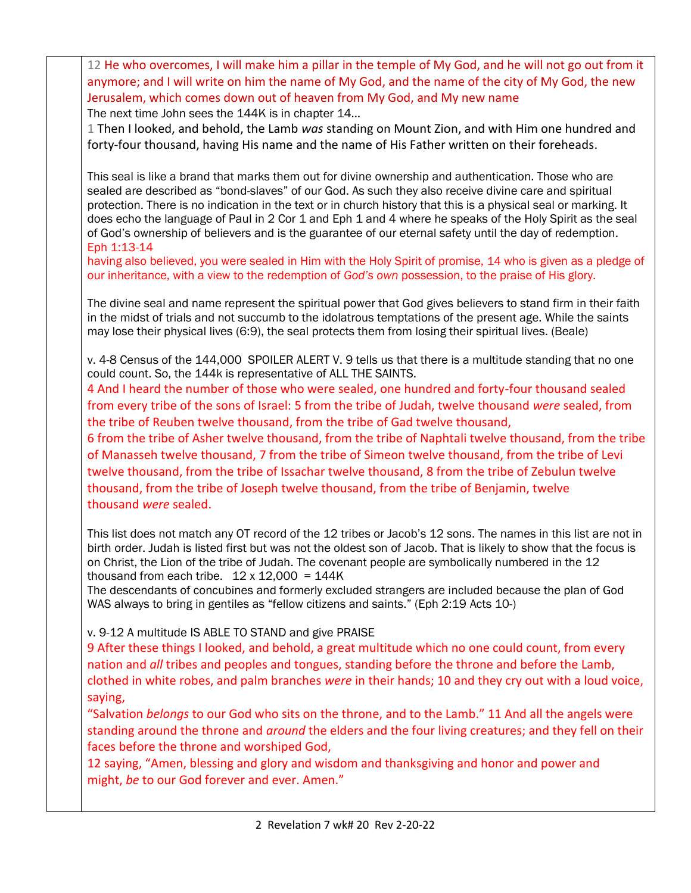12 He who overcomes, I will make him a pillar in the temple of My God, and he will not go out from it anymore; and I will write on him the name of My God, and the name of the city of My God, the new Jerusalem, which comes down out of heaven from My God, and My new name

The next time John sees the 144K is in chapter 14...

1 Then I looked, and behold, the Lamb *was* standing on Mount Zion, and with Him one hundred and forty-four thousand, having His name and the name of His Father written on their foreheads.

This seal is like a brand that marks them out for divine ownership and authentication. Those who are sealed are described as "bond-slaves" of our God. As such they also receive divine care and spiritual protection. There is no indication in the text or in church history that this is a physical seal or marking. It does echo the language of Paul in 2 Cor 1 and Eph 1 and 4 where he speaks of the Holy Spirit as the seal of God's ownership of believers and is the guarantee of our eternal safety until the day of redemption. Eph 1:13-14

having also believed, you were sealed in Him with the Holy Spirit of promise, 14 who is given as a pledge of our inheritance, with a view to the redemption of *God's own* possession, to the praise of His glory.

The divine seal and name represent the spiritual power that God gives believers to stand firm in their faith in the midst of trials and not succumb to the idolatrous temptations of the present age. While the saints may lose their physical lives (6:9), the seal protects them from losing their spiritual lives. (Beale)

v. 4-8 Census of the 144,000 SPOILER ALERT V. 9 tells us that there is a multitude standing that no one could count. So, the 144k is representative of ALL THE SAINTS.

4 And I heard the number of those who were sealed, one hundred and forty-four thousand sealed from every tribe of the sons of Israel: 5 from the tribe of Judah, twelve thousand *were* sealed, from the tribe of Reuben twelve thousand, from the tribe of Gad twelve thousand,

6 from the tribe of Asher twelve thousand, from the tribe of Naphtali twelve thousand, from the tribe of Manasseh twelve thousand, 7 from the tribe of Simeon twelve thousand, from the tribe of Levi twelve thousand, from the tribe of Issachar twelve thousand, 8 from the tribe of Zebulun twelve thousand, from the tribe of Joseph twelve thousand, from the tribe of Benjamin, twelve thousand *were* sealed.

This list does not match any OT record of the 12 tribes or Jacob's 12 sons. The names in this list are not in birth order. Judah is listed first but was not the oldest son of Jacob. That is likely to show that the focus is on Christ, the Lion of the tribe of Judah. The covenant people are symbolically numbered in the 12 thousand from each tribe.  $12 \times 12,000 = 144K$ 

The descendants of concubines and formerly excluded strangers are included because the plan of God WAS always to bring in gentiles as "fellow citizens and saints." (Eph 2:19 Acts 10-)

v. 9-12 A multitude IS ABLE TO STAND and give PRAISE

9 After these things I looked, and behold, a great multitude which no one could count, from every nation and *all* tribes and peoples and tongues, standing before the throne and before the Lamb, clothed in white robes, and palm branches *were* in their hands; 10 and they cry out with a loud voice, saying,

"Salvation *belongs* to our God who sits on the throne, and to the Lamb." 11 And all the angels were standing around the throne and *around* the elders and the four living creatures; and they fell on their faces before the throne and worshiped God,

12 saying, "Amen, blessing and glory and wisdom and thanksgiving and honor and power and might, *be* to our God forever and ever. Amen."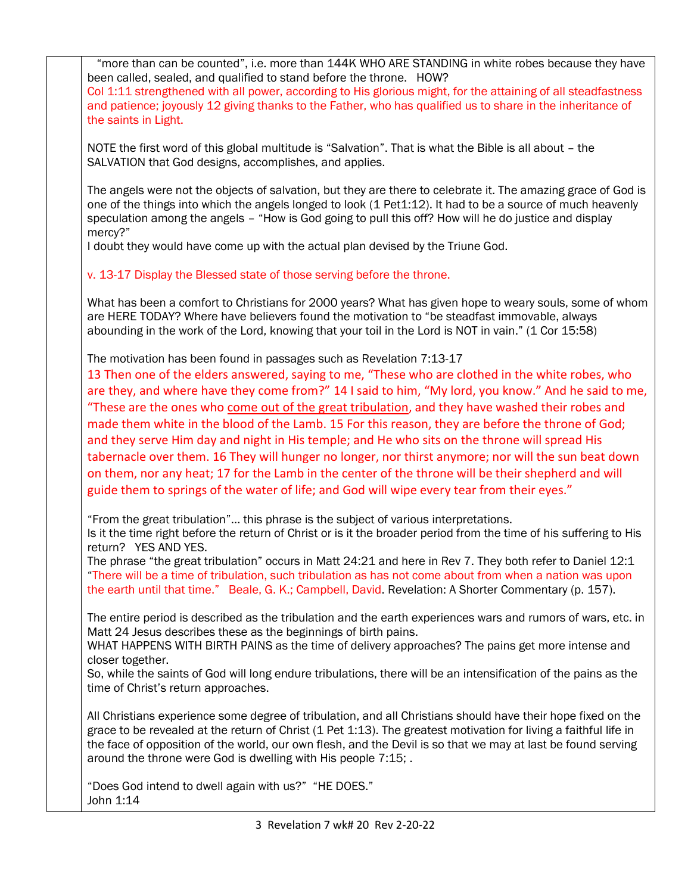"more than can be counted", i.e. more than 144K WHO ARE STANDING in white robes because they have been called, sealed, and qualified to stand before the throne. HOW?

Col 1:11 strengthened with all power, according to His glorious might, for the attaining of all steadfastness and patience; joyously 12 giving thanks to the Father, who has qualified us to share in the inheritance of the saints in Light.

NOTE the first word of this global multitude is "Salvation". That is what the Bible is all about – the SALVATION that God designs, accomplishes, and applies.

The angels were not the objects of salvation, but they are there to celebrate it. The amazing grace of God is one of the things into which the angels longed to look (1 Pet1:12). It had to be a source of much heavenly speculation among the angels – "How is God going to pull this off? How will he do justice and display mercy?"

I doubt they would have come up with the actual plan devised by the Triune God.

v. 13-17 Display the Blessed state of those serving before the throne.

What has been a comfort to Christians for 2000 years? What has given hope to weary souls, some of whom are HERE TODAY? Where have believers found the motivation to "be steadfast immovable, always abounding in the work of the Lord, knowing that your toil in the Lord is NOT in vain." (1 Cor 15:58)

The motivation has been found in passages such as Revelation 7:13-17

13 Then one of the elders answered, saying to me, "These who are clothed in the white robes, who are they, and where have they come from?" 14 I said to him, "My lord, you know." And he said to me, "These are the ones who come out of the great tribulation, and they have washed their robes and made them white in the blood of the Lamb. 15 For this reason, they are before the throne of God; and they serve Him day and night in His temple; and He who sits on the throne will spread His tabernacle over them. 16 They will hunger no longer, nor thirst anymore; nor will the sun beat down on them, nor any heat; 17 for the Lamb in the center of the throne will be their shepherd and will guide them to springs of the water of life; and God will wipe every tear from their eyes."

"From the great tribulation"… this phrase is the subject of various interpretations.

Is it the time right before the return of Christ or is it the broader period from the time of his suffering to His return? YES AND YES.

The phrase "the great tribulation" occurs in Matt 24:21 and here in Rev 7. They both refer to Daniel 12:1 "There will be a time of tribulation, such tribulation as has not come about from when a nation was upon the earth until that time." Beale, G. K.; Campbell, David. Revelation: A Shorter Commentary (p. 157).

The entire period is described as the tribulation and the earth experiences wars and rumors of wars, etc. in Matt 24 Jesus describes these as the beginnings of birth pains.

WHAT HAPPENS WITH BIRTH PAINS as the time of delivery approaches? The pains get more intense and closer together.

So, while the saints of God will long endure tribulations, there will be an intensification of the pains as the time of Christ's return approaches.

All Christians experience some degree of tribulation, and all Christians should have their hope fixed on the grace to be revealed at the return of Christ (1 Pet 1:13). The greatest motivation for living a faithful life in the face of opposition of the world, our own flesh, and the Devil is so that we may at last be found serving around the throne were God is dwelling with His people 7:15; .

"Does God intend to dwell again with us?" "HE DOES." John 1:14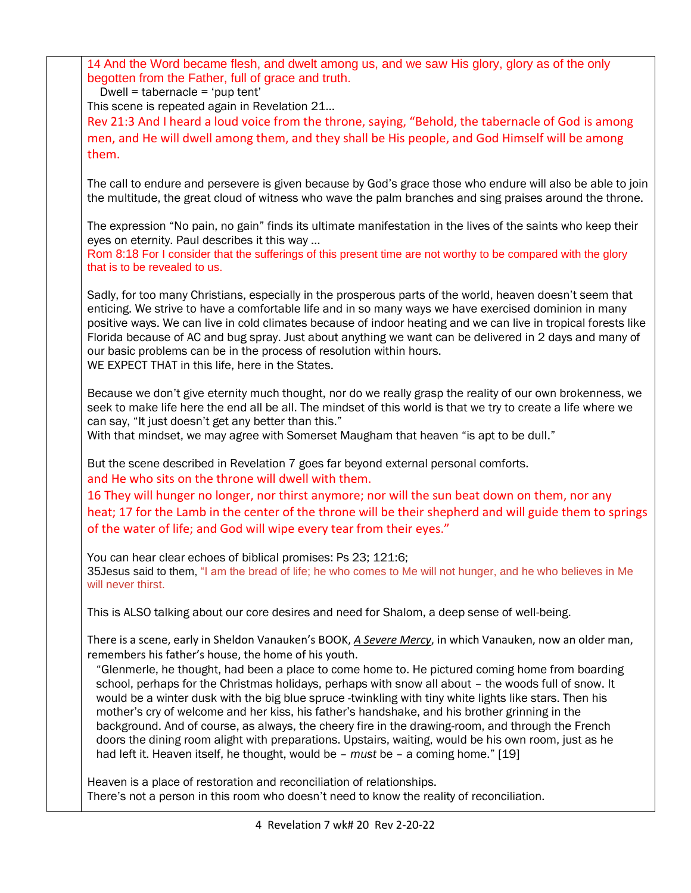14 And the Word became flesh, and dwelt among us, and we saw His glory, glory as of the only begotten from the Father, full of grace and truth.

Dwell = tabernacle = 'pup tent'

This scene is repeated again in Revelation 21…

Rev 21:3 And I heard a loud voice from the throne, saying, "Behold, the tabernacle of God is among men, and He will dwell among them, and they shall be His people, and God Himself will be among them.

The call to endure and persevere is given because by God's grace those who endure will also be able to join the multitude, the great cloud of witness who wave the palm branches and sing praises around the throne.

The expression "No pain, no gain" finds its ultimate manifestation in the lives of the saints who keep their eyes on eternity. Paul describes it this way …

Rom 8:18 For I consider that the sufferings of this present time are not worthy to be compared with the glory that is to be revealed to us.

Sadly, for too many Christians, especially in the prosperous parts of the world, heaven doesn't seem that enticing. We strive to have a comfortable life and in so many ways we have exercised dominion in many positive ways. We can live in cold climates because of indoor heating and we can live in tropical forests like Florida because of AC and bug spray. Just about anything we want can be delivered in 2 days and many of our basic problems can be in the process of resolution within hours. WE EXPECT THAT in this life, here in the States.

Because we don't give eternity much thought, nor do we really grasp the reality of our own brokenness, we seek to make life here the end all be all. The mindset of this world is that we try to create a life where we can say, "It just doesn't get any better than this."

With that mindset, we may agree with Somerset Maugham that heaven "is apt to be dull."

But the scene described in Revelation 7 goes far beyond external personal comforts. and He who sits on the throne will dwell with them.

16 They will hunger no longer, nor thirst anymore; nor will the sun beat down on them, nor any heat; 17 for the Lamb in the center of the throne will be their shepherd and will guide them to springs of the water of life; and God will wipe every tear from their eyes."

You can hear clear echoes of biblical promises: Ps 23; 121:6; 35Jesus said to them, "I am the bread of life; he who comes to Me will not hunger, and he who believes in Me will never thirst.

This is ALSO talking about our core desires and need for Shalom, a deep sense of well-being.

There is a scene, early in Sheldon Vanauken's BOOK, *A Severe Mercy*, in which Vanauken, now an older man, remembers his father's house, the home of his youth.

"Glenmerle, he thought, had been a place to come home to. He pictured coming home from boarding school, perhaps for the Christmas holidays, perhaps with snow all about – the woods full of snow. It would be a winter dusk with the big blue spruce -twinkling with tiny white lights like stars. Then his mother's cry of welcome and her kiss, his father's handshake, and his brother grinning in the background. And of course, as always, the cheery fire in the drawing-room, and through the French doors the dining room alight with preparations. Upstairs, waiting, would be his own room, just as he had left it. Heaven itself, he thought, would be – *must* be – a coming home." [19]

Heaven is a place of restoration and reconciliation of relationships. There's not a person in this room who doesn't need to know the reality of reconciliation.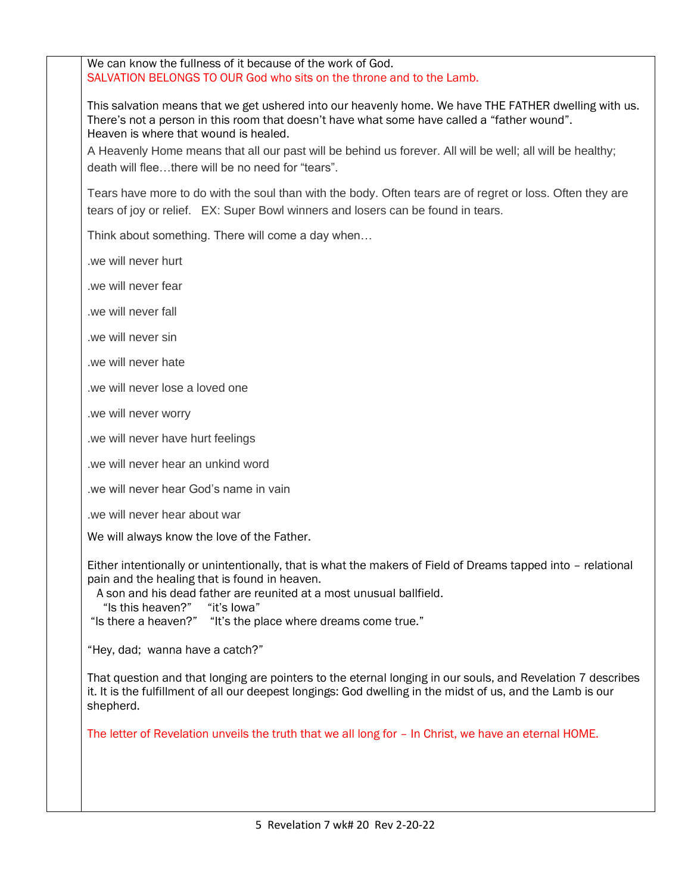We can know the fullness of it because of the work of God. SALVATION BELONGS TO OUR God who sits on the throne and to the Lamb.

This salvation means that we get ushered into our heavenly home. We have THE FATHER dwelling with us. There's not a person in this room that doesn't have what some have called a "father wound". Heaven is where that wound is healed.

A Heavenly Home means that all our past will be behind us forever. All will be well; all will be healthy; death will flee…there will be no need for "tears".

Tears have more to do with the soul than with the body. Often tears are of regret or loss. Often they are tears of joy or relief. EX: Super Bowl winners and losers can be found in tears.

Think about something. There will come a day when…

.we will never hurt

.we will never fear

.we will never fall

.we will never sin

.we will never hate

we will never lose a loved one

.we will never worry

.we will never have hurt feelings

.we will never hear an unkind word

.we will never hear God's name in vain

.we will never hear about war

We will always know the love of the Father.

Either intentionally or unintentionally, that is what the makers of Field of Dreams tapped into – relational pain and the healing that is found in heaven.

A son and his dead father are reunited at a most unusual ballfield.<br>"Is this heaven?" "it's lowa" "Is this heaven?"

"Is there a heaven?" "It's the place where dreams come true."

"Hey, dad; wanna have a catch?"

That question and that longing are pointers to the eternal longing in our souls, and Revelation 7 describes it. It is the fulfillment of all our deepest longings: God dwelling in the midst of us, and the Lamb is our shepherd.

The letter of Revelation unveils the truth that we all long for – In Christ, we have an eternal HOME.